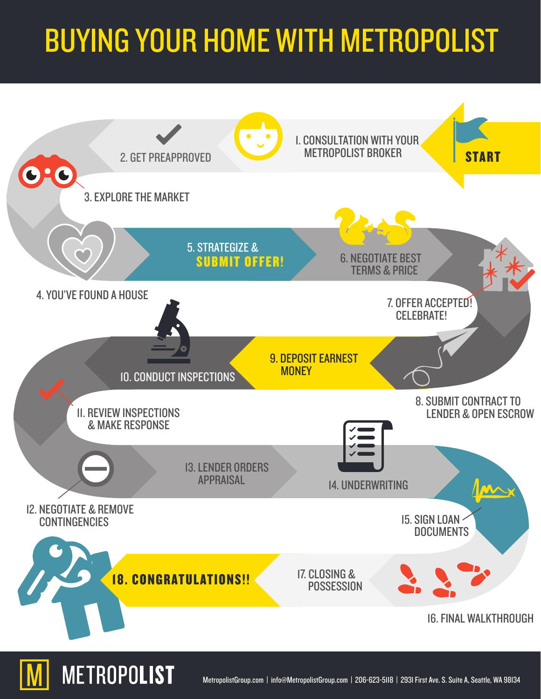## BUYING YOUR HOME WITH METROPOLIST